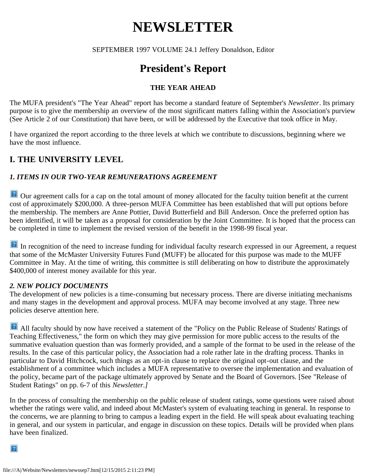# **NEWSLETTER**

SEPTEMBER 1997 VOLUME 24.1 Jeffery Donaldson, Editor

# **President's Report**

#### **THE YEAR AHEAD**

The MUFA president's "The Year Ahead" report has become a standard feature of September's *Newsletter*. Its primary purpose is to give the membership an overview of the most significant matters falling within the Association's purview (See Article 2 of our Constitution) that have been, or will be addressed by the Executive that took office in May.

I have organized the report according to the three levels at which we contribute to discussions, beginning where we have the most influence.

### **I. THE UNIVERSITY LEVEL**

#### *1. ITEMS IN OUR TWO-YEAR REMUNERATIONS AGREEMENT*

**P** Our agreement calls for a cap on the total amount of money allocated for the faculty tuition benefit at the current cost of approximately \$200,000. A three-person MUFA Committee has been established that will put options before the membership. The members are Anne Pottier, David Butterfield and Bill Anderson. Once the preferred option has been identified, it will be taken as a proposal for consideration by the Joint Committee. It is hoped that the process can be completed in time to implement the revised version of the benefit in the 1998-99 fiscal year.

In recognition of the need to increase funding for individual faculty research expressed in our Agreement, a request that some of the McMaster University Futures Fund (MUFF) be allocated for this purpose was made to the MUFF Committee in May. At the time of writing, this committee is still deliberating on how to distribute the approximately \$400,000 of interest money available for this year.

#### *2. NEW POLICY DOCUMENTS*

The development of new policies is a time-consuming but necessary process. There are diverse initiating mechanisms and many stages in the development and approval process. MUFA may become involved at any stage. Three new policies deserve attention here.

All faculty should by now have received a statement of the "Policy on the Public Release of Students' Ratings of Teaching Effectiveness," the form on which they may give permission for more public access to the results of the summative evaluation question than was formerly provided, and a sample of the format to be used in the release of the results. In the case of this particular policy, the Association had a role rather late in the drafting process. Thanks in particular to David Hitchcock, such things as an opt-in clause to replace the original opt-out clause, and the establishment of a committee which includes a MUFA representative to oversee the implementation and evaluation of the policy, became part of the package ultimately approved by Senate and the Board of Governors. [See "Release of Student Ratings" on pp. 6-7 of this *Newsletter.]*

In the process of consulting the membership on the public release of student ratings, some questions were raised about whether the ratings were valid, and indeed about McMaster's system of evaluating teaching in general. In response to the concerns, we are planning to bring to campus a leading expert in the field. He will speak about evaluating teaching in general, and our system in particular, and engage in discussion on these topics. Details will be provided when plans have been finalized.

 $|2|$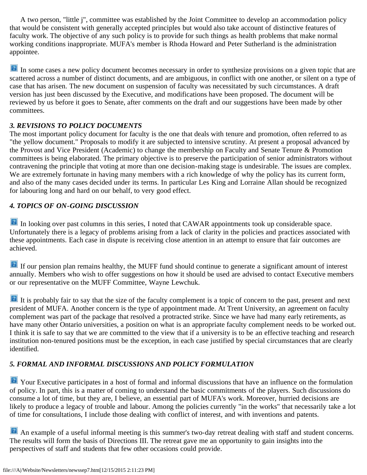A two person, "little j", committee was established by the Joint Committee to develop an accommodation policy that would be consistent with generally accepted principles but would also take account of distinctive features of faculty work. The objective of any such policy is to provide for such things as health problems that make normal working conditions inappropriate. MUFA's member is Rhoda Howard and Peter Sutherland is the administration appointee.

In some cases a new policy document becomes necessary in order to synthesize provisions on a given topic that are scattered across a number of distinct documents, and are ambiguous, in conflict with one another, or silent on a type of case that has arisen. The new document on suspension of faculty was necessitated by such circumstances. A draft version has just been discussed by the Executive, and modifications have been proposed. The document will be reviewed by us before it goes to Senate, after comments on the draft and our suggestions have been made by other committees.

#### *3. REVISIONS TO POLICY DOCUMENTS*

The most important policy document for faculty is the one that deals with tenure and promotion, often referred to as "the yellow document." Proposals to modify it are subjected to intensive scrutiny. At present a proposal advanced by the Provost and Vice President (Academic) to change the membership on Faculty and Senate Tenure & Promotion committees is being elaborated. The primary objective is to preserve the participation of senior administrators without contravening the principle that voting at more than one decision-making stage is undesirable. The issues are complex. We are extremely fortunate in having many members with a rich knowledge of why the policy has its current form, and also of the many cases decided under its terms. In particular Les King and Lorraine Allan should be recognized for labouring long and hard on our behalf, to very good effect.

#### *4. TOPICS OF ON-GOING DISCUSSION*

In looking over past columns in this series, I noted that CAWAR appointments took up considerable space. Unfortunately there is a legacy of problems arising from a lack of clarity in the policies and practices associated with these appointments. Each case in dispute is receiving close attention in an attempt to ensure that fair outcomes are achieved.

If our pension plan remains healthy, the MUFF fund should continue to generate a significant amount of interest annually. Members who wish to offer suggestions on how it should be used are advised to contact Executive members or our representative on the MUFF Committee, Wayne Lewchuk.

It is probably fair to say that the size of the faculty complement is a topic of concern to the past, present and next president of MUFA. Another concern is the type of appointment made. At Trent University, an agreement on faculty complement was part of the package that resolved a protracted strike. Since we have had many early retirements, as have many other Ontario universities, a position on what is an appropriate faculty complement needs to be worked out. I think it is safe to say that we are committed to the view that if a university is to be an effective teaching and research institution non-tenured positions must be the exception, in each case justified by special circumstances that are clearly identified.

#### *5. FORMAL AND INFORMAL DISCUSSIONS AND POLICY FORMULATION*

**P** Your Executive participates in a host of formal and informal discussions that have an influence on the formulation of policy. In part, this is a matter of coming to understand the basic commitments of the players. Such discussions do consume a lot of time, but they are, I believe, an essential part of MUFA's work. Moreover, hurried decisions are likely to produce a legacy of trouble and labour. Among the policies currently "in the works" that necessarily take a lot of time for consultations, I include those dealing with conflict of interest, and with inventions and patents.

**An example of a useful informal meeting is this summer's two-day retreat dealing with staff and student concerns.** The results will form the basis of Directions III. The retreat gave me an opportunity to gain insights into the perspectives of staff and students that few other occasions could provide.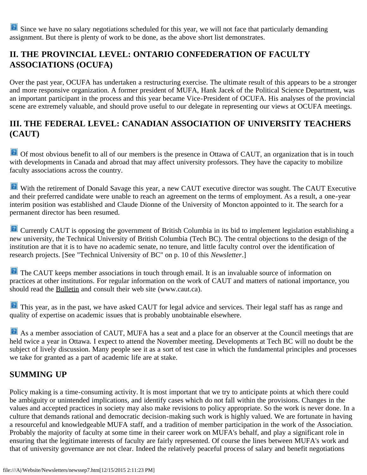Since we have no salary negotiations scheduled for this year, we will not face that particularly demanding assignment. But there is plenty of work to be done, as the above short list demonstrates.

### **II. THE PROVINCIAL LEVEL: ONTARIO CONFEDERATION OF FACULTY ASSOCIATIONS (OCUFA)**

Over the past year, OCUFA has undertaken a restructuring exercise. The ultimate result of this appears to be a stronger and more responsive organization. A former president of MUFA, Hank Jacek of the Political Science Department, was an important participant in the process and this year became Vice-President of OCUFA. His analyses of the provincial scene are extremely valuable, and should prove useful to our delegate in representing our views at OCUFA meetings.

### **III. THE FEDERAL LEVEL: CANADIAN ASSOCIATION OF UNIVERSITY TEACHERS (CAUT)**

<sup>2</sup> Of most obvious benefit to all of our members is the presence in Ottawa of CAUT, an organization that is in touch with developments in Canada and abroad that may affect university professors. They have the capacity to mobilize faculty associations across the country.

With the retirement of Donald Savage this year, a new CAUT executive director was sought. The CAUT Executive and their preferred candidate were unable to reach an agreement on the terms of employment. As a result, a one-year interim position was established and Claude Dionne of the University of Moncton appointed to it. The search for a permanent director has been resumed.

**Currently CAUT** is opposing the government of British Columbia in its bid to implement legislation establishing a new university, the Technical University of British Columbia (Tech BC). The central objections to the design of the institution are that it is to have no academic senate, no tenure, and little faculty control over the identification of research projects. [See "Technical University of BC" on p. 10 of this *Newsletter*.]

**The CAUT keeps member associations in touch through email. It is an invaluable source of information on** practices at other institutions. For regular information on the work of CAUT and matters of national importance, you should read the Bulletin and consult their web site (www.caut.ca).

**This year, as in the past, we have asked CAUT for legal advice and services. Their legal staff has as range and** quality of expertise on academic issues that is probably unobtainable elsewhere.

As a member association of CAUT, MUFA has a seat and a place for an observer at the Council meetings that are held twice a year in Ottawa. I expect to attend the November meeting. Developments at Tech BC will no doubt be the subject of lively discussion. Many people see it as a sort of test case in which the fundamental principles and processes we take for granted as a part of academic life are at stake.

### **SUMMING UP**

Policy making is a time-consuming activity. It is most important that we try to anticipate points at which there could be ambiguity or unintended implications, and identify cases which do not fall within the provisions. Changes in the values and accepted practices in society may also make revisions to policy appropriate. So the work is never done. In a culture that demands rational and democratic decision-making such work is highly valued. We are fortunate in having a resourceful and knowledgeable MUFA staff, and a tradition of member participation in the work of the Association. Probably the majority of faculty at some time in their career work on MUFA's behalf, and play a significant role in ensuring that the legitimate interests of faculty are fairly represented. Of course the lines between MUFA's work and that of university governance are not clear. Indeed the relatively peaceful process of salary and benefit negotiations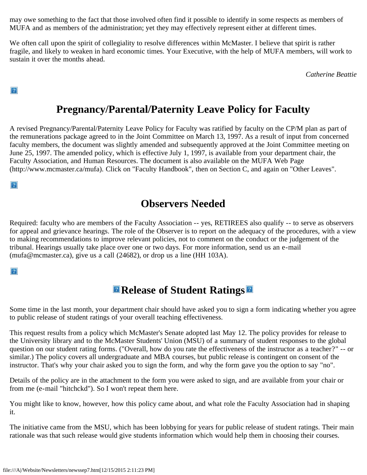may owe something to the fact that those involved often find it possible to identify in some respects as members of MUFA and as members of the administration; yet they may effectively represent either at different times.

We often call upon the spirit of collegiality to resolve differences within McMaster. I believe that spirit is rather fragile, and likely to weaken in hard economic times. Your Executive, with the help of MUFA members, will work to sustain it over the months ahead.

*Catherine Beattie*

 $\overline{?}$ 

# **Pregnancy/Parental/Paternity Leave Policy for Faculty**

A revised Pregnancy/Parental/Paternity Leave Policy for Faculty was ratified by faculty on the CP/M plan as part of the remunerations package agreed to in the Joint Committee on March 13, 1997. As a result of input from concerned faculty members, the document was slightly amended and subsequently approved at the Joint Committee meeting on June 25, 1997. The amended policy, which is effective July 1, 1997, is available from your department chair, the Faculty Association, and Human Resources. The document is also available on the MUFA Web Page (http://www.mcmaster.ca/mufa). Click on "Faculty Handbook", then on Section C, and again on "Other Leaves".

 $\overline{?}$ 

### **Observers Needed**

Required: faculty who are members of the Faculty Association -- yes, RETIREES also qualify -- to serve as observers for appeal and grievance hearings. The role of the Observer is to report on the adequacy of the procedures, with a view to making recommendations to improve relevant policies, not to comment on the conduct or the judgement of the tribunal. Hearings usually take place over one or two days. For more information, send us an e-mail (mufa@mcmaster.ca), give us a call (24682), or drop us a line (HH 103A).

 $|2|$ 

# **Release of Student Ratings**

Some time in the last month, your department chair should have asked you to sign a form indicating whether you agree to public release of student ratings of your overall teaching effectiveness.

This request results from a policy which McMaster's Senate adopted last May 12. The policy provides for release to the University library and to the McMaster Students' Union (MSU) of a summary of student responses to the global question on our student rating forms. ("Overall, how do you rate the effectiveness of the instructor as a teacher?" -- or similar.) The policy covers all undergraduate and MBA courses, but public release is contingent on consent of the instructor. That's why your chair asked you to sign the form, and why the form gave you the option to say "no".

Details of the policy are in the attachment to the form you were asked to sign, and are available from your chair or from me (e-mail "hitchckd"). So I won't repeat them here.

You might like to know, however, how this policy came about, and what role the Faculty Association had in shaping it.

The initiative came from the MSU, which has been lobbying for years for public release of student ratings. Their main rationale was that such release would give students information which would help them in choosing their courses.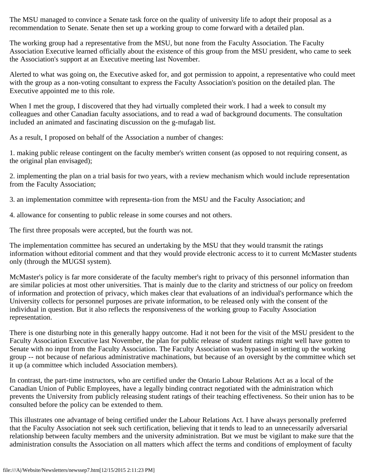The MSU managed to convince a Senate task force on the quality of university life to adopt their proposal as a recommendation to Senate. Senate then set up a working group to come forward with a detailed plan.

The working group had a representative from the MSU, but none from the Faculty Association. The Faculty Association Executive learned officially about the existence of this group from the MSU president, who came to seek the Association's support at an Executive meeting last November.

Alerted to what was going on, the Executive asked for, and got permission to appoint, a representative who could meet with the group as a non-voting consultant to express the Faculty Association's position on the detailed plan. The Executive appointed me to this role.

When I met the group, I discovered that they had virtually completed their work. I had a week to consult my colleagues and other Canadian faculty associations, and to read a wad of background documents. The consultation included an animated and fascinating discussion on the g-mufagab list.

As a result, I proposed on behalf of the Association a number of changes:

1. making public release contingent on the faculty member's written consent (as opposed to not requiring consent, as the original plan envisaged);

2. implementing the plan on a trial basis for two years, with a review mechanism which would include representation from the Faculty Association;

3. an implementation committee with representa-tion from the MSU and the Faculty Association; and

4. allowance for consenting to public release in some courses and not others.

The first three proposals were accepted, but the fourth was not.

The implementation committee has secured an undertaking by the MSU that they would transmit the ratings information without editorial comment and that they would provide electronic access to it to current McMaster students only (through the MUGSI system).

McMaster's policy is far more considerate of the faculty member's right to privacy of this personnel information than are similar policies at most other universities. That is mainly due to the clarity and strictness of our policy on freedom of information and protection of privacy, which makes clear that evaluations of an individual's performance which the University collects for personnel purposes are private information, to be released only with the consent of the individual in question. But it also reflects the responsiveness of the working group to Faculty Association representation.

There is one disturbing note in this generally happy outcome. Had it not been for the visit of the MSU president to the Faculty Association Executive last November, the plan for public release of student ratings might well have gotten to Senate with no input from the Faculty Association. The Faculty Association was bypassed in setting up the working group -- not because of nefarious administrative machinations, but because of an oversight by the committee which set it up (a committee which included Association members).

In contrast, the part-time instructors, who are certified under the Ontario Labour Relations Act as a local of the Canadian Union of Public Employees, have a legally binding contract negotiated with the administration which prevents the University from publicly releasing student ratings of their teaching effectiveness. So their union has to be consulted before the policy can be extended to them.

This illustrates one advantage of being certified under the Labour Relations Act. I have always personally preferred that the Faculty Association not seek such certification, believing that it tends to lead to an unnecessarily adversarial relationship between faculty members and the university administration. But we must be vigilant to make sure that the administration consults the Association on all matters which affect the terms and conditions of employment of faculty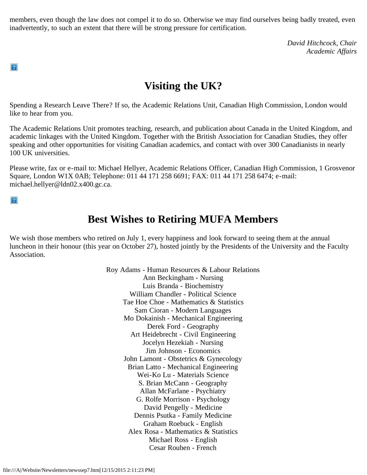members, even though the law does not compel it to do so. Otherwise we may find ourselves being badly treated, even inadvertently, to such an extent that there will be strong pressure for certification.

> *David Hitchcock, Chair Academic Affairs*

### **Visiting the UK?**

Spending a Research Leave There? If so, the Academic Relations Unit, Canadian High Commission, London would like to hear from you.

The Academic Relations Unit promotes teaching, research, and publication about Canada in the United Kingdom, and academic linkages with the United Kingdom. Together with the British Association for Canadian Studies, they offer speaking and other opportunities for visiting Canadian academics, and contact with over 300 Canadianists in nearly 100 UK universities.

Please write, fax or e-mail to: Michael Hellyer, Academic Relations Officer, Canadian High Commission, 1 Grosvenor Square, London W1X 0AB; Telephone: 011 44 171 258 6691; FAX: 011 44 171 258 6474; e-mail: michael.hellyer@ldn02.x400.gc.ca.

 $|2\rangle$ 

 $|2|$ 

### **Best Wishes to Retiring MUFA Members**

We wish those members who retired on July 1, every happiness and look forward to seeing them at the annual luncheon in their honour (this year on October 27), hosted jointly by the Presidents of the University and the Faculty Association.

> Roy Adams - Human Resources & Labour Relations Ann Beckingham - Nursing Luis Branda - Biochemistry William Chandler - Political Science Tae Hoe Choe - Mathematics & Statistics Sam Cioran - Modern Languages Mo Dokainish - Mechanical Engineering Derek Ford - Geography Art Heidebrecht - Civil Engineering Jocelyn Hezekiah - Nursing Jim Johnson - Economics John Lamont - Obstetrics & Gynecology Brian Latto - Mechanical Engineering Wei-Ko Lu - Materials Science S. Brian McCann - Geography Allan McFarlane - Psychiatry G. Rolfe Morrison - Psychology David Pengelly - Medicine Dennis Psutka - Family Medicine Graham Roebuck - English Alex Rosa - Mathematics & Statistics Michael Ross - English Cesar Rouben - French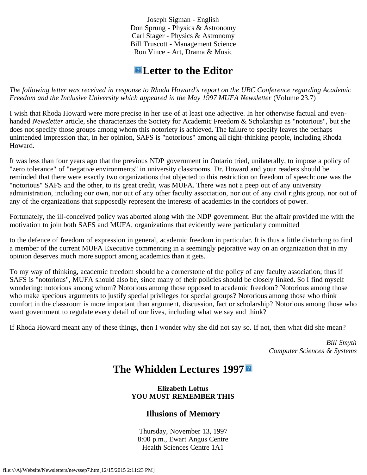Joseph Sigman - English Don Sprung - Physics & Astronomy Carl Stager - Physics & Astronomy Bill Truscott - Management Science Ron Vince - Art, Drama & Music

### **Letter to the Editor**

*The following letter was received in response to Rhoda Howard's report on the UBC Conference regarding Academic Freedom and the Inclusive University which appeared in the May 1997 MUFA Newsletter* (Volume 23.7)

I wish that Rhoda Howard were more precise in her use of at least one adjective. In her otherwise factual and evenhanded *Newsletter* article, she characterizes the Society for Academic Freedom & Scholarship as "notorious", but she does not specify those groups among whom this notoriety is achieved. The failure to specify leaves the perhaps unintended impression that, in her opinion, SAFS is "notorious" among all right-thinking people, including Rhoda Howard.

It was less than four years ago that the previous NDP government in Ontario tried, unilaterally, to impose a policy of "zero tolerance" of "negative environments" in university classrooms. Dr. Howard and your readers should be reminded that there were exactly two organizations that objected to this restriction on freedom of speech: one was the "notorious" SAFS and the other, to its great credit, was MUFA. There was not a peep out of any university administration, including our own, nor out of any other faculty association, nor out of any civil rights group, nor out of any of the organizations that supposedly represent the interests of academics in the corridors of power.

Fortunately, the ill-conceived policy was aborted along with the NDP government. But the affair provided me with the motivation to join both SAFS and MUFA, organizations that evidently were particularly committed

to the defence of freedom of expression in general, academic freedom in particular. It is thus a little disturbing to find a member of the current MUFA Executive commenting in a seemingly pejorative way on an organization that in my opinion deserves much more support among academics than it gets.

To my way of thinking, academic freedom should be a cornerstone of the policy of any faculty association; thus if SAFS is "notorious", MUFA should also be, since many of their policies should be closely linked. So I find myself wondering: notorious among whom? Notorious among those opposed to academic freedom? Notorious among those who make specious arguments to justify special privileges for special groups? Notorious among those who think comfort in the classroom is more important than argument, discussion, fact or scholarship? Notorious among those who want government to regulate every detail of our lives, including what we say and think?

If Rhoda Howard meant any of these things, then I wonder why she did not say so. If not, then what did she mean?

*Bill Smyth Computer Sciences & Systems*

### **The Whidden Lectures 1997**

#### **Elizabeth Loftus YOU MUST REMEMBER THIS**

#### **Illusions of Memory**

Thursday, November 13, 1997 8:00 p.m., Ewart Angus Centre Health Sciences Centre 1A1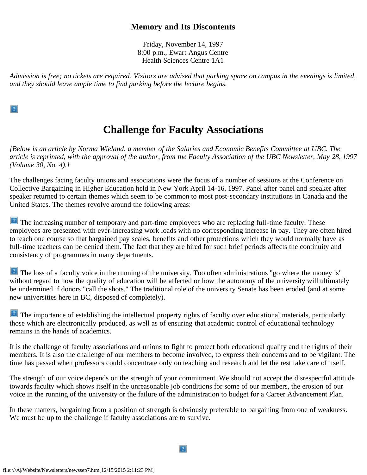#### **Memory and Its Discontents**

Friday, November 14, 1997 8:00 p.m., Ewart Angus Centre Health Sciences Centre 1A1

*Admission is free; no tickets are required. Visitors are advised that parking space on campus in the evenings is limited, and they should leave ample time to find parking before the lecture begins.*

 $\overline{?}$ 

# **Challenge for Faculty Associations**

*[Below is an article by Norma Wieland, a member of the Salaries and Economic Benefits Committee at UBC. The article is reprinted, with the approval of the author, from the Faculty Association of the UBC Newsletter, May 28, 1997 (Volume 30, No. 4).]*

The challenges facing faculty unions and associations were the focus of a number of sessions at the Conference on Collective Bargaining in Higher Education held in New York April 14-16, 1997. Panel after panel and speaker after speaker returned to certain themes which seem to be common to most post-secondary institutions in Canada and the United States. The themes revolve around the following areas:

The increasing number of temporary and part-time employees who are replacing full-time faculty. These employees are presented with ever-increasing work loads with no corresponding increase in pay. They are often hired to teach one course so that bargained pay scales, benefits and other protections which they would normally have as full-time teachers can be denied them. The fact that they are hired for such brief periods affects the continuity and consistency of programmes in many departments.

The loss of a faculty voice in the running of the university. Too often administrations "go where the money is" without regard to how the quality of education will be affected or how the autonomy of the university will ultimately be undermined if donors "call the shots." The traditional role of the university Senate has been eroded (and at some new universities here in BC, disposed of completely).

The importance of establishing the intellectual property rights of faculty over educational materials, particularly those which are electronically produced, as well as of ensuring that academic control of educational technology remains in the hands of academics.

It is the challenge of faculty associations and unions to fight to protect both educational quality and the rights of their members. It is also the challenge of our members to become involved, to express their concerns and to be vigilant. The time has passed when professors could concentrate only on teaching and research and let the rest take care of itself.

The strength of our voice depends on the strength of your commitment. We should not accept the disrespectful attitude towards faculty which shows itself in the unreasonable job conditions for some of our members, the erosion of our voice in the running of the university or the failure of the administration to budget for a Career Advancement Plan.

In these matters, bargaining from a position of strength is obviously preferable to bargaining from one of weakness. We must be up to the challenge if faculty associations are to survive.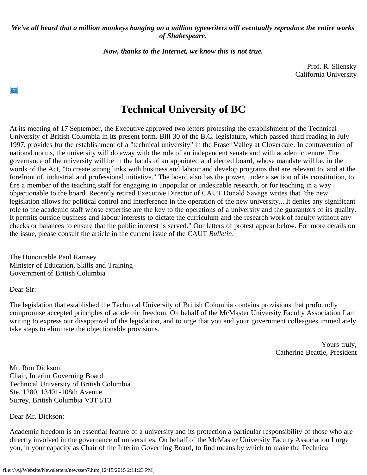#### *We've all heard that a million monkeys banging on a million typewriters will eventually reproduce the entire works of Shakespeare.*

*Now, thanks to the Internet, we know this is not true.*

Prof. R. Silensky California University

### **Technical University of BC**

At its meeting of 17 September, the Executive approved two letters protesting the establishment of the Technical University of British Columbia in its present form. Bill 30 of the B.C. legislature, which passed third reading in July 1997, provides for the establishment of a "technical university" in the Fraser Valley at Cloverdale. In contravention of national norms, the university will do away with the role of an independent senate and with academic tenure. The governance of the university will be in the hands of an appointed and elected board, whose mandate will be, in the words of the Act, "to create strong links with business and labour and develop programs that are relevant to, and at the forefront of, industrial and professional initiative." The board also has the power, under a section of its constitution, to fire a member of the teaching staff for engaging in unpopular or undesirable research, or for teaching in a way objectionable to the board. Recently retired Executive Director of CAUT Donald Savage writes that "the new legislation allows for political control and interference in the operation of the new university....It denies any significant role to the academic staff whose expertise are the key to the operations of a university and the guarantors of its quality. It permits outside business and labour interests to dictate the curriculum and the research work of faculty without any checks or balances to ensure that the public interest is served." Our letters of protest appear below. For more details on the issue, please consult the article in the current issue of the CAUT *Bulletin*.

The Honourable Paul Ramsey Minister of Education, Skills and Training Government of British Columbia

Dear Sir:

 $|2|$ 

The legislation that established the Technical University of British Columbia contains provisions that profoundly compromise accepted principles of academic freedom. On behalf of the McMaster University Faculty Association I am writing to express our disapproval of the legislation, and to urge that you and your government colleagues immediately take steps to eliminate the objectionable provisions.

> Yours truly, Catherine Beattie, President

Mr. Ron Dickson Chair, Interim Governing Board Technical University of British Columbia Ste. 1280, 13401-108th Avenue Surrey, British Columbia V3T 5T3

Dear Mr. Dickson:

Academic freedom is an essential feature of a university and its protection a particular responsibility of those who are directly involved in the governance of universities. On behalf of the McMaster University Faculty Association I urge you, in your capacity as Chair of the Interim Governing Board, to find means by which to make the Technical